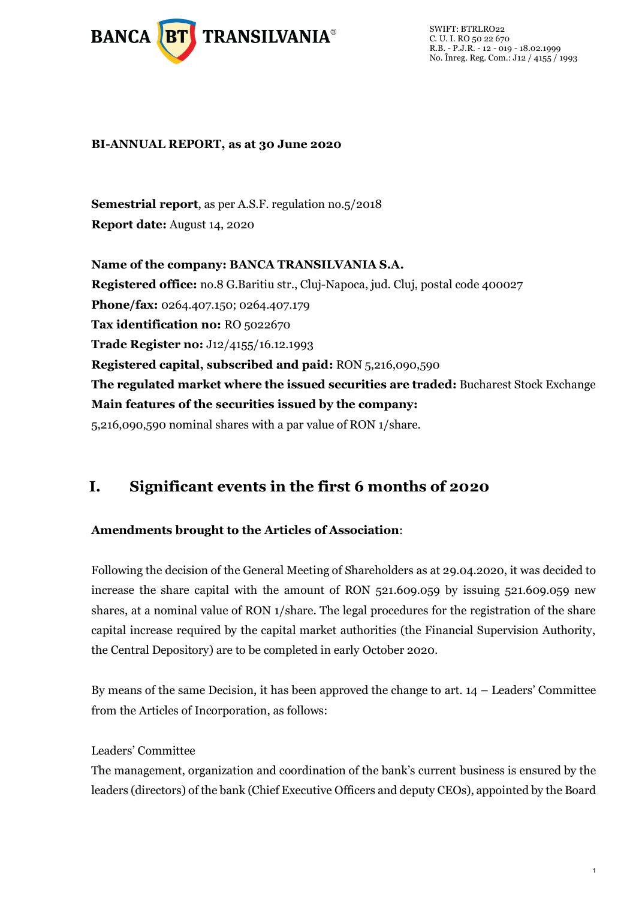

SWIFT: BTRLRO22 C. U. I. RO 50 22 670 R.B. - P.J.R. - 12 - 019 - 18.02.1999 No. Înreg. Reg. Com.: J12 / 4155 / 1993

#### **BI-ANNUAL REPORT, as at 30 June 2020**

**Semestrial report**, as per A.S.F. regulation no.5/2018 **Report date:** August 14, 2020

**Name of the company: BANCA TRANSILVANIA S.A. Registered office:** no.8 G.Baritiu str., Cluj-Napoca, jud. Cluj, postal code 400027 **Phone/fax:** 0264.407.150; 0264.407.179 **Tax identification no:** RO 5022670 **Trade Register no:** J12/4155/16.12.1993 **Registered capital, subscribed and paid:** RON 5,216,090,590 **The regulated market where the issued securities are traded:** Bucharest Stock Exchange **Main features of the securities issued by the company:**  5,216,090,590 nominal shares with a par value of RON 1/share.

# **I. Significant events in the first 6 months of 2020**

#### **Amendments brought to the Articles of Association**:

Following the decision of the General Meeting of Shareholders as at 29.04.2020, it was decided to increase the share capital with the amount of RON 521.609.059 by issuing 521.609.059 new shares, at a nominal value of RON 1/share. The legal procedures for the registration of the share capital increase required by the capital market authorities (the Financial Supervision Authority, the Central Depository) are to be completed in early October 2020.

By means of the same Decision, it has been approved the change to art. 14 – Leaders' Committee from the Articles of Incorporation, as follows:

#### Leaders' Committee

The management, organization and coordination of the bank's current business is ensured by the leaders (directors) of the bank (Chief Executive Officers and deputy CEOs), appointed by the Board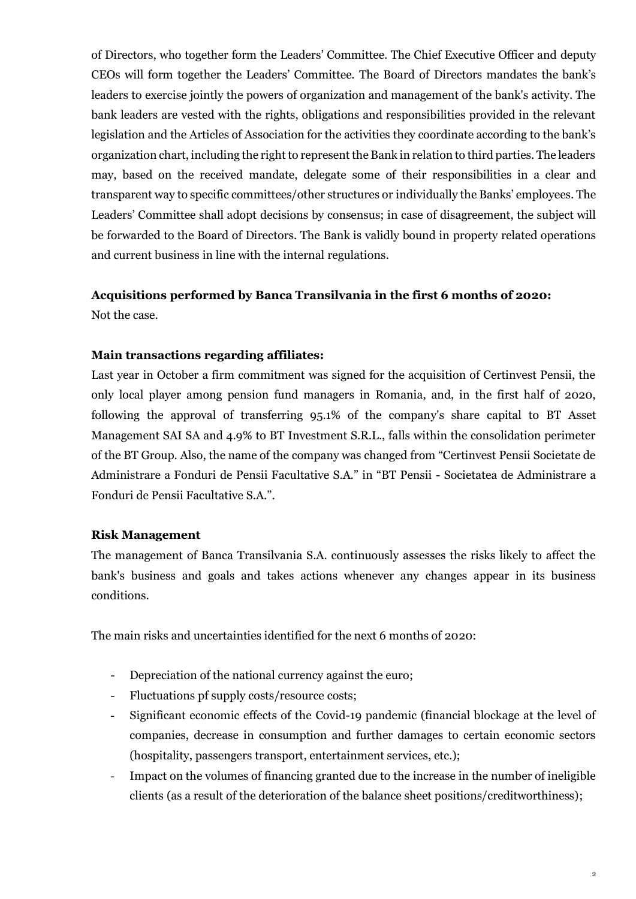of Directors, who together form the Leaders' Committee. The Chief Executive Officer and deputy CEOs will form together the Leaders' Committee. The Board of Directors mandates the bank's leaders to exercise jointly the powers of organization and management of the bank's activity. The bank leaders are vested with the rights, obligations and responsibilities provided in the relevant legislation and the Articles of Association for the activities they coordinate according to the bank's organization chart, including the right to represent the Bank in relation to third parties. The leaders may, based on the received mandate, delegate some of their responsibilities in a clear and transparent way to specific committees/other structures or individually the Banks' employees. The Leaders' Committee shall adopt decisions by consensus; in case of disagreement, the subject will be forwarded to the Board of Directors. The Bank is validly bound in property related operations and current business in line with the internal regulations.

### **Acquisitions performed by Banca Transilvania in the first 6 months of 2020:**

Not the case.

#### **Main transactions regarding affiliates:**

Last year in October a firm commitment was signed for the acquisition of Certinvest Pensii, the only local player among pension fund managers in Romania, and, in the first half of 2020, following the approval of transferring 95.1% of the company's share capital to BT Asset Management SAI SA and 4.9% to BT Investment S.R.L., falls within the consolidation perimeter of the BT Group. Also, the name of the company was changed from "Certinvest Pensii Societate de Administrare a Fonduri de Pensii Facultative S.A." in "BT Pensii - Societatea de Administrare a Fonduri de Pensii Facultative S.A.".

#### **Risk Management**

The management of Banca Transilvania S.A. continuously assesses the risks likely to affect the bank's business and goals and takes actions whenever any changes appear in its business conditions.

The main risks and uncertainties identified for the next 6 months of 2020:

- Depreciation of the national currency against the euro;
- Fluctuations pf supply costs/resource costs;
- Significant economic effects of the Covid-19 pandemic (financial blockage at the level of companies, decrease in consumption and further damages to certain economic sectors (hospitality, passengers transport, entertainment services, etc.);
- Impact on the volumes of financing granted due to the increase in the number of ineligible clients (as a result of the deterioration of the balance sheet positions/creditworthiness);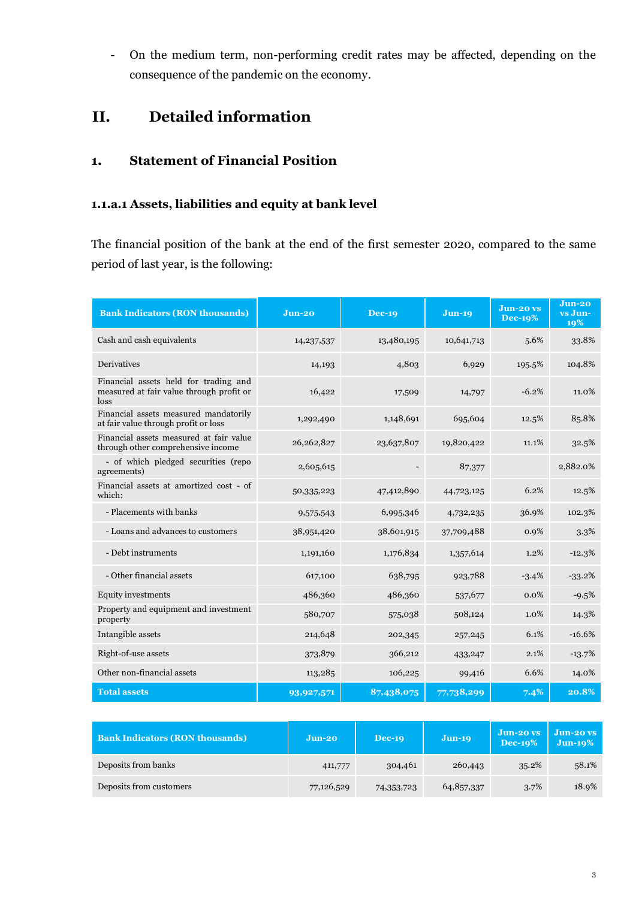- On the medium term, non-performing credit rates may be affected, depending on the consequence of the pandemic on the economy.

# **II. Detailed information**

## **1. Statement of Financial Position**

#### **1.1.a.1 Assets, liabilities and equity at bank level**

The financial position of the bank at the end of the first semester 2020, compared to the same period of last year, is the following:

| <b>Bank Indicators (RON thousands)</b>                                                    | Jun-20     | <b>Dec-19</b><br>$Jun-19$ |            | Jun-20 vs<br><b>Dec-19%</b> | $Jun-20$<br>vs Jun-<br>19% |
|-------------------------------------------------------------------------------------------|------------|---------------------------|------------|-----------------------------|----------------------------|
| Cash and cash equivalents                                                                 | 14,237,537 | 13,480,195                | 10,641,713 | 5.6%                        | 33.8%                      |
| Derivatives                                                                               | 14,193     | 4,803                     | 6,929      | 195.5%                      | 104.8%                     |
| Financial assets held for trading and<br>measured at fair value through profit or<br>loss | 16,422     | 17,509                    | 14,797     | $-6.2%$                     | 11.0%                      |
| Financial assets measured mandatorily<br>at fair value through profit or loss             | 1,292,490  | 1,148,691                 | 695,604    | 12.5%                       | 85.8%                      |
| Financial assets measured at fair value<br>through other comprehensive income             | 26,262,827 | 23,637,807                | 19,820,422 | 11.1%                       | 32.5%                      |
| - of which pledged securities (repo<br>agreements)                                        | 2,605,615  |                           | 87,377     |                             | 2,882.0%                   |
| Financial assets at amortized cost - of<br>which:                                         | 50,335,223 | 47,412,890                | 44,723,125 | 6.2%                        | 12.5%                      |
| - Placements with banks                                                                   | 9,575,543  | 6,995,346                 | 4,732,235  | 36.9%                       | 102.3%                     |
| - Loans and advances to customers                                                         | 38,951,420 | 38,601,915                | 37,709,488 | 0.9%                        | 3.3%                       |
| - Debt instruments                                                                        | 1,191,160  | 1,176,834                 | 1,357,614  | $1.2\%$                     | $-12.3%$                   |
| - Other financial assets                                                                  | 617,100    | 638,795                   | 923,788    | $-3.4%$                     | $-33.2%$                   |
| <b>Equity investments</b>                                                                 | 486,360    | 486,360                   | 537,677    | $0.0\%$                     | $-9.5%$                    |
| Property and equipment and investment<br>property                                         | 580,707    | 575,038                   | 508,124    | 1.0%                        | 14.3%                      |
| Intangible assets                                                                         | 214,648    | 202,345                   | 257,245    | 6.1%                        | $-16.6%$                   |
| Right-of-use assets                                                                       | 373,879    | 366,212                   | 433,247    | 2.1%                        | $-13.7%$                   |
| Other non-financial assets                                                                | 113,285    | 106,225                   | 99,416     | 6.6%                        | 14.0%                      |
| <b>Total assets</b>                                                                       | 93,927,571 | 87,438,075                | 77,738,299 | 7.4%                        | 20.8%                      |

| <b>Bank Indicators (RON thousands)</b> | $Jun-20$   | $Dec-19$   | $Jun-19$   | $Jun-20 vs$<br><b>Dec-19%</b> | Jun-20 vs<br>$Jun-19\%$ |
|----------------------------------------|------------|------------|------------|-------------------------------|-------------------------|
| Deposits from banks                    | 411,777    | 304,461    | 260,443    | 35.2%                         | 58.1%                   |
| Deposits from customers                | 77,126,529 | 74,353,723 | 64,857,337 | 3.7%                          | 18.9%                   |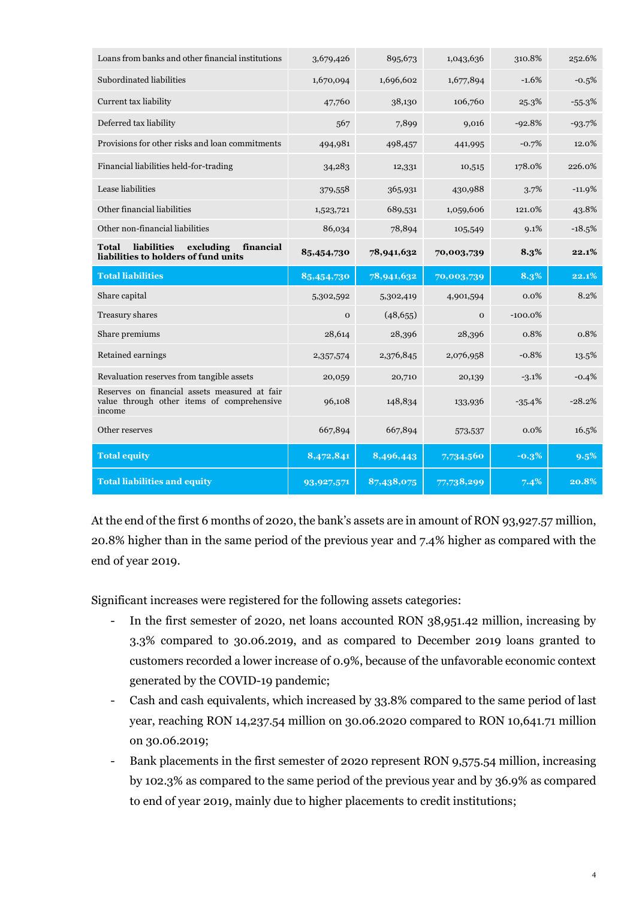| Loans from banks and other financial institutions                                                     | 3,679,426    | 895,673    | 1,043,636      | 310.8%    | 252.6%   |
|-------------------------------------------------------------------------------------------------------|--------------|------------|----------------|-----------|----------|
| Subordinated liabilities                                                                              | 1,670,094    | 1,696,602  | 1,677,894      | $-1.6%$   | $-0.5%$  |
| Current tax liability                                                                                 | 47,760       | 38,130     | 106,760        | 25.3%     | $-55.3%$ |
| Deferred tax liability                                                                                | 567          | 7,899      | 9,016          | $-92.8%$  | $-93.7%$ |
| Provisions for other risks and loan commitments                                                       | 494,981      | 498,457    | 441,995        | $-0.7%$   | 12.0%    |
| Financial liabilities held-for-trading                                                                | 34,283       | 12,331     | 10,515         | 178.0%    | 226.0%   |
| Lease liabilities                                                                                     | 379,558      | 365,931    | 430,988        | 3.7%      | $-11.9%$ |
| Other financial liabilities                                                                           | 1,523,721    | 689,531    | 1,059,606      | 121.0%    | 43.8%    |
| Other non-financial liabilities                                                                       | 86,034       | 78,894     | 105,549        | 9.1%      | $-18.5%$ |
| financial<br>liabilities<br>excluding<br><b>Total</b><br>liabilities to holders of fund units         | 85,454,730   | 78,941,632 | 70,003,739     | 8.3%      | 22.1%    |
|                                                                                                       |              |            |                |           |          |
| <b>Total liabilities</b>                                                                              | 85,454,730   | 78,941,632 | 70,003,739     | 8.3%      | 22.1%    |
| Share capital                                                                                         | 5,302,592    | 5,302,419  | 4,901,594      | $0.0\%$   | 8.2%     |
| Treasury shares                                                                                       | $\mathbf{O}$ | (48, 655)  | $\overline{O}$ | $-100.0%$ |          |
| Share premiums                                                                                        | 28,614       | 28,396     | 28,396         | 0.8%      | 0.8%     |
| Retained earnings                                                                                     | 2,357,574    | 2,376,845  | 2,076,958      | $-0.8%$   | 13.5%    |
| Revaluation reserves from tangible assets                                                             | 20,059       | 20,710     | 20,139         | $-3.1%$   | $-0.4%$  |
| Reserves on financial assets measured at fair<br>value through other items of comprehensive<br>income | 96,108       | 148,834    | 133,936        | $-35.4%$  | $-28.2%$ |
| Other reserves                                                                                        | 667,894      | 667,894    | 573,537        | $0.0\%$   | 16.5%    |
| <b>Total equity</b>                                                                                   | 8,472,841    | 8,496,443  | 7,734,560      | $-0.3%$   | 9.5%     |

At the end of the first 6 months of 2020, the bank's assets are in amount of RON 93,927.57 million, 20.8% higher than in the same period of the previous year and 7.4% higher as compared with the end of year 2019.

Significant increases were registered for the following assets categories:

- In the first semester of 2020, net loans accounted RON 38,951.42 million, increasing by 3.3% compared to 30.06.2019, and as compared to December 2019 loans granted to customers recorded a lower increase of 0.9%, because of the unfavorable economic context generated by the COVID-19 pandemic;
- Cash and cash equivalents, which increased by 33.8% compared to the same period of last year, reaching RON 14,237.54 million on 30.06.2020 compared to RON 10,641.71 million on 30.06.2019;
- Bank placements in the first semester of 2020 represent RON 9,575.54 million, increasing by 102.3% as compared to the same period of the previous year and by 36.9% as compared to end of year 2019, mainly due to higher placements to credit institutions;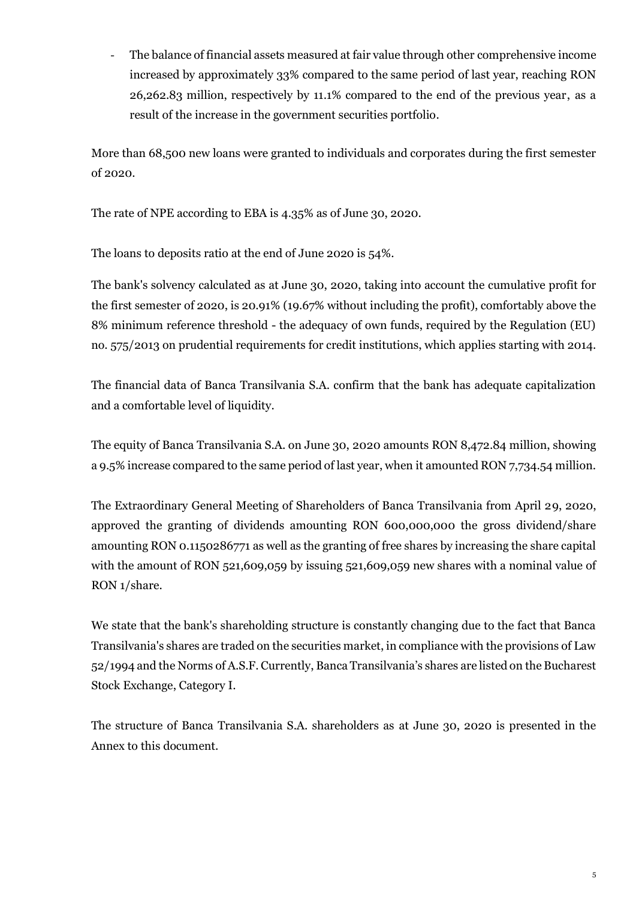- The balance of financial assets measured at fair value through other comprehensive income increased by approximately 33% compared to the same period of last year, reaching RON 26,262.83 million, respectively by 11.1% compared to the end of the previous year, as a result of the increase in the government securities portfolio.

More than 68,500 new loans were granted to individuals and corporates during the first semester of 2020.

The rate of NPE according to EBA is 4.35% as of June 30, 2020.

The loans to deposits ratio at the end of June 2020 is 54%.

The bank's solvency calculated as at June 30, 2020, taking into account the cumulative profit for the first semester of 2020, is 20.91% (19.67% without including the profit), comfortably above the 8% minimum reference threshold - the adequacy of own funds, required by the Regulation (EU) no. 575/2013 on prudential requirements for credit institutions, which applies starting with 2014.

The financial data of Banca Transilvania S.A. confirm that the bank has adequate capitalization and a comfortable level of liquidity.

The equity of Banca Transilvania S.A. on June 30, 2020 amounts RON 8,472.84 million, showing a 9.5% increase compared to the same period of last year, when it amounted RON 7,734.54 million.

The Extraordinary General Meeting of Shareholders of Banca Transilvania from April 29, 2020, approved the granting of dividends amounting RON 600,000,000 the gross dividend/share amounting RON 0.1150286771 as well as the granting of free shares by increasing the share capital with the amount of RON 521,609,059 by issuing 521,609,059 new shares with a nominal value of RON 1/share.

We state that the bank's shareholding structure is constantly changing due to the fact that Banca Transilvania's shares are traded on the securities market, in compliance with the provisions of Law 52/1994 and the Norms of A.S.F. Currently, Banca Transilvania's shares are listed on the Bucharest Stock Exchange, Category I.

The structure of Banca Transilvania S.A. shareholders as at June 30, 2020 is presented in the Annex to this document.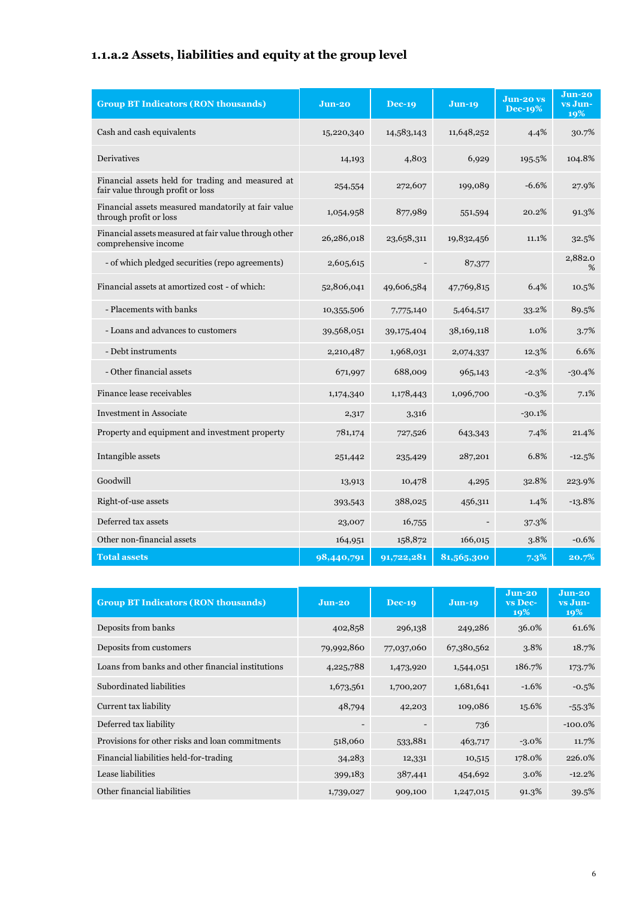# **1.1.a.2 Assets, liabilities and equity at the group level**

| <b>Group BT Indicators (RON thousands)</b>                                             | $J$ un-20  | <b>Dec-19</b> | $Jun-19$   | Jun-20 vs<br><b>Dec-19%</b> | $Jun-20$<br>vs Jun-<br>19% |
|----------------------------------------------------------------------------------------|------------|---------------|------------|-----------------------------|----------------------------|
| Cash and cash equivalents                                                              | 15,220,340 | 14,583,143    | 11,648,252 | 4.4%                        | 30.7%                      |
| Derivatives                                                                            | 14,193     | 4,803         | 6,929      | 195.5%                      | 104.8%                     |
| Financial assets held for trading and measured at<br>fair value through profit or loss | 254,554    | 272,607       | 199,089    | $-6.6%$                     | 27.9%                      |
| Financial assets measured mandatorily at fair value<br>through profit or loss          | 1,054,958  | 877,989       | 551,594    | 20.2%                       | 91.3%                      |
| Financial assets measured at fair value through other<br>comprehensive income          | 26,286,018 | 23,658,311    | 19,832,456 | 11.1%                       | 32.5%                      |
| - of which pledged securities (repo agreements)                                        | 2,605,615  |               | 87,377     |                             | 2,882.0<br>%               |
| Financial assets at amortized cost - of which:                                         | 52,806,041 | 49,606,584    | 47,769,815 | 6.4%                        | 10.5%                      |
| - Placements with banks                                                                | 10,355,506 | 7,775,140     | 5,464,517  | 33.2%                       | 89.5%                      |
| - Loans and advances to customers                                                      | 39,568,051 | 39,175,404    | 38,169,118 | 1.0%                        | 3.7%                       |
| - Debt instruments                                                                     | 2,210,487  | 1,968,031     | 2,074,337  | 12.3%                       | 6.6%                       |
| - Other financial assets                                                               | 671,997    | 688,009       | 965,143    | $-2.3%$                     | $-30.4\%$                  |
| Finance lease receivables                                                              | 1,174,340  | 1,178,443     | 1,096,700  | $-0.3\%$                    | 7.1%                       |
| <b>Investment in Associate</b>                                                         | 2,317      | 3,316         |            | $-30.1%$                    |                            |
| Property and equipment and investment property                                         | 781,174    | 727,526       | 643,343    | 7.4%                        | 21.4%                      |
| Intangible assets                                                                      | 251,442    | 235,429       | 287,201    | 6.8%                        | $-12.5%$                   |
| Goodwill                                                                               | 13,913     | 10,478        | 4,295      | 32.8%                       | 223.9%                     |
| Right-of-use assets                                                                    | 393,543    | 388,025       | 456,311    | 1.4%                        | $-13.8%$                   |
| Deferred tax assets                                                                    | 23,007     | 16,755        |            | 37.3%                       |                            |
| Other non-financial assets                                                             | 164,951    | 158,872       | 166,015    | 3.8%                        | $-0.6%$                    |
| <b>Total assets</b>                                                                    | 98,440,791 | 91,722,281    | 81,565,300 | 7.3%                        | 20.7%                      |

| <b>Group BT Indicators (RON thousands)</b>        | $Jun-20$   | <b>Dec-19</b> | $Jun-19$   | $Jun-20$<br>vs Dec-<br>19% | $Jun-20$<br>vs Jun-<br>19% |
|---------------------------------------------------|------------|---------------|------------|----------------------------|----------------------------|
| Deposits from banks                               | 402,858    | 296,138       | 249,286    | 36.0%                      | 61.6%                      |
| Deposits from customers                           | 79,992,860 | 77,037,060    | 67,380,562 | 3.8%                       | 18.7%                      |
| Loans from banks and other financial institutions | 4,225,788  | 1,473,920     | 1,544,051  | 186.7%                     | 173.7%                     |
| Subordinated liabilities                          | 1,673,561  | 1,700,207     | 1,681,641  | $-1.6%$                    | $-0.5%$                    |
| Current tax liability                             | 48,794     | 42,203        | 109,086    | 15.6%                      | $-55.3%$                   |
| Deferred tax liability                            |            |               | 736        |                            | $-100.0\%$                 |
| Provisions for other risks and loan commitments   | 518,060    | 533,881       | 463,717    | $-3.0\%$                   | 11.7%                      |
| Financial liabilities held-for-trading            | 34,283     | 12,331        | 10,515     | 178.0%                     | 226.0%                     |
| Lease liabilities                                 | 399,183    | 387,441       | 454,692    | $3.0\%$                    | $-12.2%$                   |
| Other financial liabilities                       | 1,739,027  | 909,100       | 1,247,015  | 91.3%                      | 39.5%                      |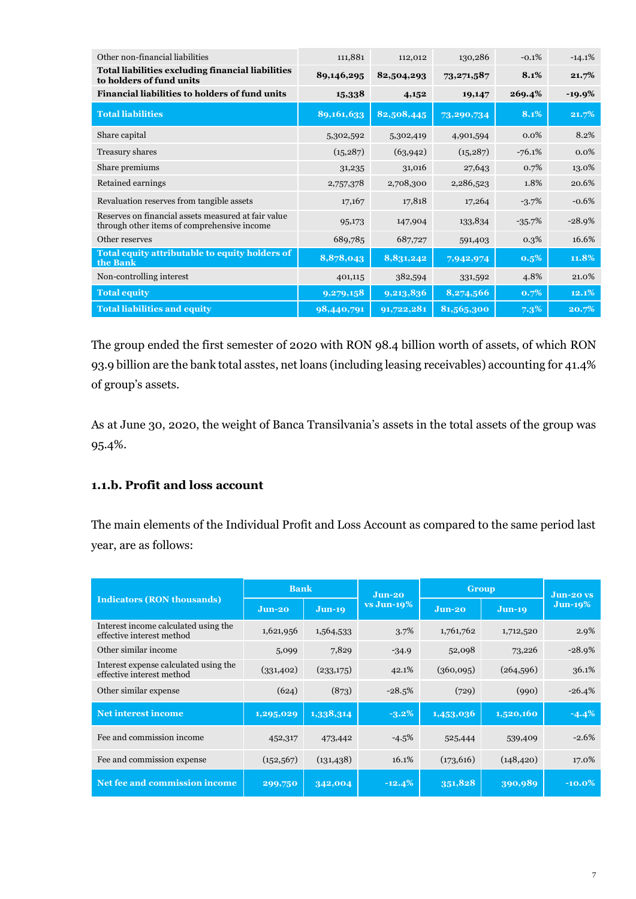| Other non-financial liabilities                                                                    | 111,881    | 112,012    | 130,286      | $-0.1%$  | $-14.1%$ |
|----------------------------------------------------------------------------------------------------|------------|------------|--------------|----------|----------|
| Total liabilities excluding financial liabilities<br>to holders of fund units                      | 89,146,295 | 82,504,293 | 73, 271, 587 | 8.1%     | 21.7%    |
| Financial liabilities to holders of fund units                                                     | 15,338     | 4,152      | 19,147       | 269.4%   | $-19.9%$ |
| <b>Total liabilities</b>                                                                           | 89,161,633 | 82,508,445 | 73,290,734   | 8.1%     | 21.7%    |
| Share capital                                                                                      | 5,302,592  | 5,302,419  | 4,901,594    | $0.0\%$  | 8.2%     |
| Treasury shares                                                                                    | (15, 287)  | (63, 942)  | (15, 287)    | $-76.1%$ | $0.0\%$  |
| Share premiums                                                                                     | 31,235     | 31,016     | 27,643       | 0.7%     | 13.0%    |
| Retained earnings                                                                                  | 2,757,378  | 2,708,300  | 2,286,523    | 1.8%     | 20.6%    |
| Revaluation reserves from tangible assets                                                          | 17,167     | 17,818     | 17,264       | $-3.7\%$ | $-0.6%$  |
| Reserves on financial assets measured at fair value<br>through other items of comprehensive income | 95,173     | 147,904    | 133,834      | $-35.7%$ | $-28.9%$ |
| Other reserves                                                                                     | 689,785    | 687,727    | 591,403      | $0.3\%$  | 16.6%    |
| Total equity attributable to equity holders of<br>the Bank                                         | 8,878,043  | 8,831,242  | 7,942,974    | $0.5\%$  | 11.8%    |
| Non-controlling interest                                                                           | 401,115    | 382,594    | 331,592      | 4.8%     | 21.0%    |
| <b>Total equity</b>                                                                                | 9,279,158  | 9,213,836  | 8,274,566    | 0.7%     | 12.1%    |
| <b>Total liabilities and equity</b>                                                                | 98,440,791 | 91,722,281 | 81,565,300   | 7.3%     | 20.7%    |

The group ended the first semester of 2020 with RON 98.4 billion worth of assets, of which RON 93.9 billion are the bank total asstes, net loans (including leasing receivables) accounting for 41.4% of group's assets.

As at June 30, 2020, the weight of Banca Transilvania's assets in the total assets of the group was 95.4%.

### **1.1.b. Profit and loss account**

The main elements of the Individual Profit and Loss Account as compared to the same period last year, are as follows:

|                                                                    | <b>Bank</b> |            | $Jun-20$     |            | <b>Group</b> | Jun-20 vs  |
|--------------------------------------------------------------------|-------------|------------|--------------|------------|--------------|------------|
| <b>Indicators (RON thousands)</b>                                  | Jun-20      | $Jun-19$   | $vs$ Jun-19% | $Jun-20$   | $Jun-19$     | $Jun-19\%$ |
| Interest income calculated using the<br>effective interest method  | 1,621,956   | 1,564,533  | 3.7%         | 1,761,762  | 1,712,520    | 2.9%       |
| Other similar income                                               | 5,099       | 7,829      | $-34.9$      | 52,098     | 73,226       | $-28.9%$   |
| Interest expense calculated using the<br>effective interest method | (331,402)   | (233,175)  | 42.1%        | (360,095)  | (264, 596)   | 36.1%      |
| Other similar expense                                              | (624)       | (873)      | $-28.5%$     | (729)      | (990)        | $-26.4%$   |
| <b>Net interest income</b>                                         | 1,295,029   | 1,338,314  | $-3.2\%$     | 1,453,036  | 1,520,160    | $-4.4%$    |
| Fee and commission income                                          | 452,317     | 473,442    | $-4.5%$      | 525,444    | 539,409      | $-2.6%$    |
| Fee and commission expense                                         | (152, 567)  | (131, 438) | 16.1%        | (173, 616) | (148, 420)   | 17.0%      |
| Net fee and commission income                                      | 299,750     | 342,004    | $-12.4%$     | 351,828    | 390,989      | $-10.0\%$  |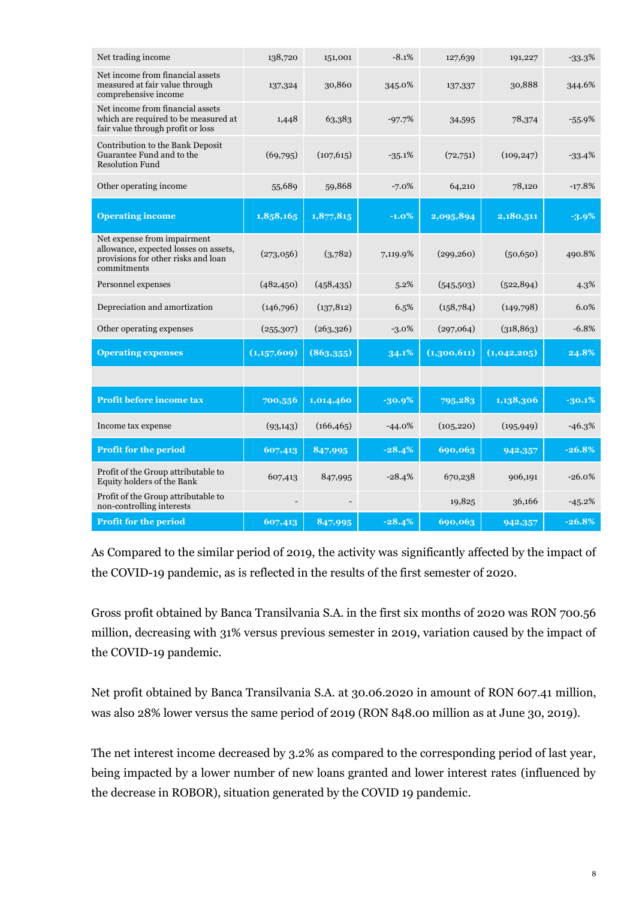| Net trading income                                                                                                         | 138,720     | 151,001    | $-8.1%$  | 127,639     | 191,227     | $-33.3%$  |
|----------------------------------------------------------------------------------------------------------------------------|-------------|------------|----------|-------------|-------------|-----------|
| Net income from financial assets<br>measured at fair value through<br>comprehensive income                                 | 137,324     | 30,860     | 345.0%   | 137,337     | 30,888      | 344.6%    |
| Net income from financial assets<br>which are required to be measured at<br>fair value through profit or loss              | 1,448       | 63,383     | $-97.7%$ | 34,595      | 78,374      | $-55.9%$  |
| Contribution to the Bank Deposit<br>Guarantee Fund and to the<br><b>Resolution Fund</b>                                    | (69,795)    | (107, 615) | $-35.1%$ | (72,751)    | (109, 247)  | $-33.4%$  |
| Other operating income                                                                                                     | 55,689      | 59,868     | $-7.0\%$ | 64,210      | 78,120      | $-17.8%$  |
| <b>Operating income</b>                                                                                                    | 1,858,165   | 1,877,815  | $-1.0\%$ | 2,095,894   | 2,180,511   | $-3.9%$   |
| Net expense from impairment<br>allowance, expected losses on assets,<br>provisions for other risks and loan<br>commitments | (273,056)   | (3,782)    | 7,119.9% | (299,260)   | (50,650)    | 490.8%    |
| Personnel expenses                                                                                                         | (482, 450)  | (458, 435) | 5.2%     | (545,503)   | (522, 894)  | 4.3%      |
| Depreciation and amortization                                                                                              | (146,796)   | (137, 812) | 6.5%     | (158, 784)  | (149,798)   | 6.0%      |
| Other operating expenses                                                                                                   | (255, 307)  | (263, 326) | $-3.0\%$ | (297,064)   | (318, 863)  | $-6.8%$   |
| <b>Operating expenses</b>                                                                                                  | (1,157,609) | (863,355)  | 34.1%    | (1,300,611) | (1,042,205) | 24.8%     |
|                                                                                                                            |             |            |          |             |             |           |
| Profit before income tax                                                                                                   | 700,556     | 1,014,460  | $-30.9%$ | 795,283     | 1,138,306   | $-30.1%$  |
| Income tax expense                                                                                                         | (93, 143)   | (166, 465) | $-44.0%$ | (105, 220)  | (195, 949)  | $-46.3%$  |
| <b>Profit for the period</b>                                                                                               | 607,413     | 847,995    | $-28.4%$ | 690,063     | 942,357     | $-26.8%$  |
| Profit of the Group attributable to<br>Equity holders of the Bank                                                          | 607,413     | 847,995    | $-28.4%$ | 670,238     | 906,191     | $-26.0\%$ |
| Profit of the Group attributable to<br>non-controlling interests                                                           |             |            |          | 19,825      | 36,166      | $-45.2%$  |
| Profit for the period                                                                                                      | 607,413     | 847,995    | $-28.4%$ | 690,063     | 942,357     | $-26.8%$  |

As Compared to the similar period of 2019, the activity was significantly affected by the impact of the COVID-19 pandemic, as is reflected in the results of the first semester of 2020.

Gross profit obtained by Banca Transilvania S.A. in the first six months of 2020 was RON 700.56 million, decreasing with 31% versus previous semester in 2019, variation caused by the impact of the COVID-19 pandemic.

Net profit obtained by Banca Transilvania S.A. at 30.06.2020 in amount of RON 607.41 million, was also 28% lower versus the same period of 2019 (RON 848.00 million as at June 30, 2019).

The net interest income decreased by 3.2% as compared to the corresponding period of last year, being impacted by a lower number of new loans granted and lower interest rates (influenced by the decrease in ROBOR), situation generated by the COVID 19 pandemic.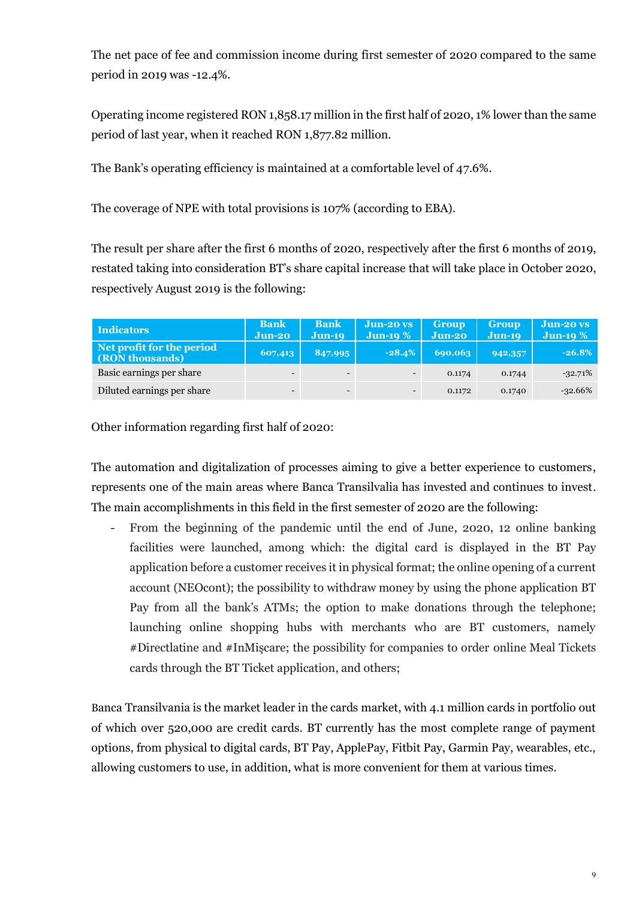The net pace of fee and commission income during first semester of 2020 compared to the same period in 2019 was -12.4%.

Operating income registered RON 1,858.17 million in the first half of 2020, 1% lower than the same period of last year, when it reached RON 1,877.82 million.

The Bank's operating efficiency is maintained at a comfortable level of 47.6%.

The coverage of NPE with total provisions is 107% (according to EBA).

The result per share after the first 6 months of 2020, respectively after the first 6 months of 2019, restated taking into consideration BT's share capital increase that will take place in October 2020, respectively August 2019 is the following:

| <b>Indicators</b>                            | <b>Bank</b><br>$Jun-20$ | <b>Bank</b><br>$Jun-19$  | <b>Jun-20 vs</b><br>Jun-19 $\%$ | <b>Group</b><br>$Jun-20$ | <b>Group</b><br>$Jun-19$ | <b>Jun-20 vs</b><br>Jun-19 $%$ |
|----------------------------------------------|-------------------------|--------------------------|---------------------------------|--------------------------|--------------------------|--------------------------------|
| Net profit for the period<br>(RON thousands) | 607,413                 | 847,995                  | $-28.4%$                        | 690,063                  | 942,357                  | $-26.8\%$                      |
| Basic earnings per share                     |                         | $\overline{\phantom{0}}$ | $\overline{\phantom{0}}$        | 0.1174                   | 0.1744                   | $-32.71%$                      |
| Diluted earnings per share                   |                         | $\overline{\phantom{0}}$ | $\overline{\phantom{0}}$        | 0.1172                   | 0.1740                   | $-32.66\%$                     |

Other information regarding first half of 2020:

The automation and digitalization of processes aiming to give a better experience to customers, represents one of the main areas where Banca Transilvalia has invested and continues to invest. The main accomplishments in this field in the first semester of 2020 are the following:

- From the beginning of the pandemic until the end of June, 2020, 12 online banking facilities were launched, among which: the digital card is displayed in the BT Pay application before a customer receives it in physical format; the online opening of a current account (NEOcont); the possibility to withdraw money by using the phone application BT Pay from all the bank's ATMs; the option to make donations through the telephone; launching online shopping hubs with merchants who are BT customers, namely #Directlatine and #InMişcare; the possibility for companies to order online Meal Tickets cards through the BT Ticket application, and others;

Banca Transilvania is the market leader in the cards market, with 4.1 million cards in portfolio out of which over 520,000 are credit cards. BT currently has the most complete range of payment options, from physical to digital cards, BT Pay, ApplePay, Fitbit Pay, Garmin Pay, wearables, etc., allowing customers to use, in addition, what is more convenient for them at various times.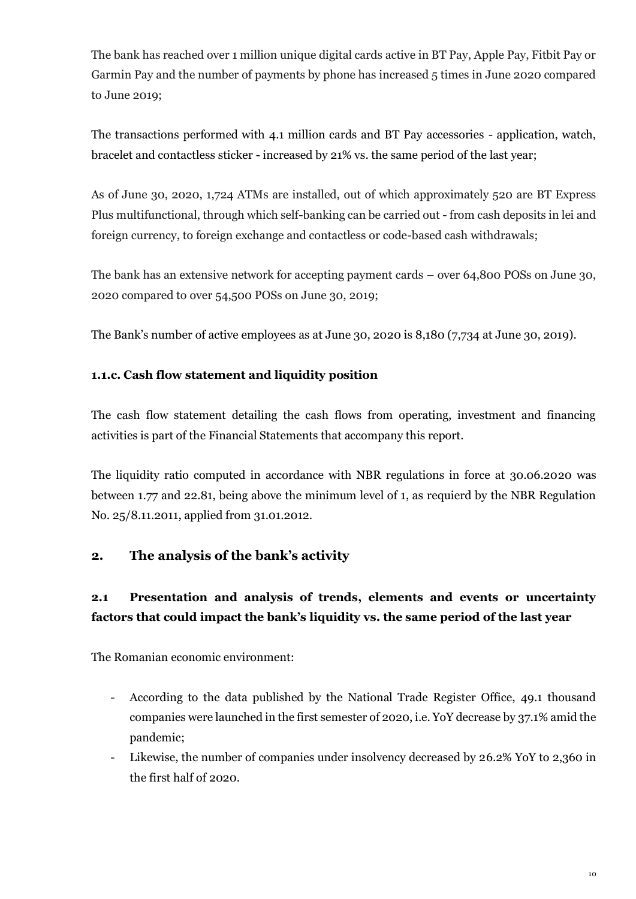The bank has reached over 1 million unique digital cards active in BT Pay, Apple Pay, Fitbit Pay or Garmin Pay and the number of payments by phone has increased 5 times in June 2020 compared to June 2019;

The transactions performed with 4.1 million cards and BT Pay accessories - application, watch, bracelet and contactless sticker - increased by 21% vs. the same period of the last year;

As of June 30, 2020, 1,724 ATMs are installed, out of which approximately 520 are BT Express Plus multifunctional, through which self-banking can be carried out - from cash deposits in lei and foreign currency, to foreign exchange and contactless or code-based cash withdrawals;

The bank has an extensive network for accepting payment cards – over 64,800 POSs on June 30, 2020 compared to over 54,500 POSs on June 30, 2019;

The Bank's number of active employees as at June 30, 2020 is 8,180 (7,734 at June 30, 2019).

### **1.1.c. Cash flow statement and liquidity position**

The cash flow statement detailing the cash flows from operating, investment and financing activities is part of the Financial Statements that accompany this report.

The liquidity ratio computed in accordance with NBR regulations in force at 30.06.2020 was between 1.77 and 22.81, being above the minimum level of 1, as requierd by the NBR Regulation No. 25/8.11.2011, applied from 31.01.2012.

## **2. The analysis of the bank's activity**

## **2.1 Presentation and analysis of trends, elements and events or uncertainty factors that could impact the bank's liquidity vs. the same period of the last year**

The Romanian economic environment:

- According to the data published by the National Trade Register Office, 49.1 thousand companies were launched in the first semester of 2020, i.e. YoY decrease by 37.1% amid the pandemic;
- Likewise, the number of companies under insolvency decreased by 26.2% YoY to 2,360 in the first half of 2020.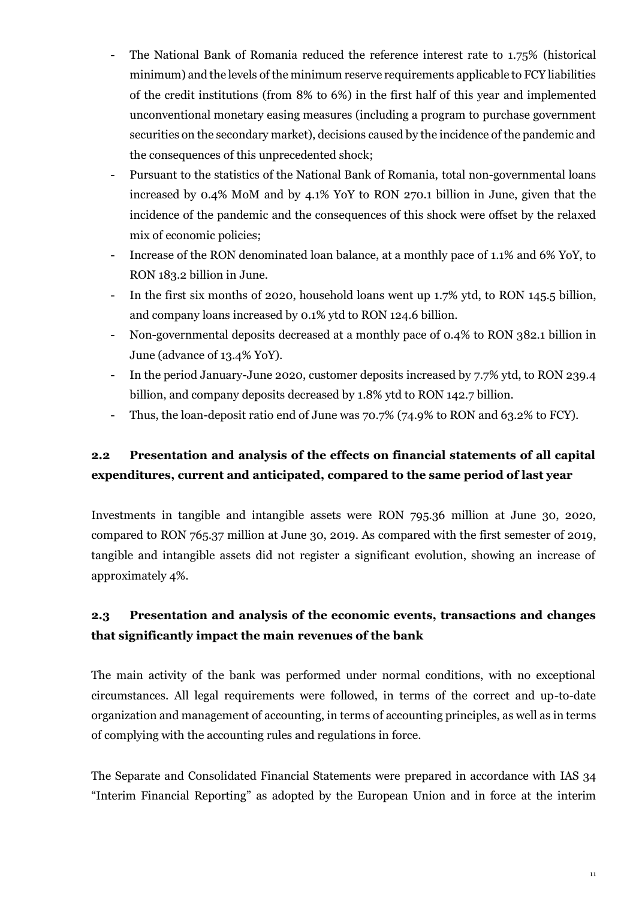- The National Bank of Romania reduced the reference interest rate to 1.75% (historical minimum) and the levels of the minimum reserve requirements applicable to FCY liabilities of the credit institutions (from 8% to 6%) in the first half of this year and implemented unconventional monetary easing measures (including a program to purchase government securities on the secondary market), decisions caused by the incidence of the pandemic and the consequences of this unprecedented shock;
- Pursuant to the statistics of the National Bank of Romania, total non-governmental loans increased by 0.4% MoM and by 4.1% YoY to RON 270.1 billion in June, given that the incidence of the pandemic and the consequences of this shock were offset by the relaxed mix of economic policies;
- Increase of the RON denominated loan balance, at a monthly pace of 1.1% and 6% YoY, to RON 183.2 billion in June.
- In the first six months of 2020, household loans went up 1.7% ytd, to RON 145.5 billion, and company loans increased by 0.1% ytd to RON 124.6 billion.
- Non-governmental deposits decreased at a monthly pace of 0.4% to RON 382.1 billion in June (advance of 13.4% YoY).
- In the period January-June 2020, customer deposits increased by 7.7% ytd, to RON 239.4 billion, and company deposits decreased by 1.8% ytd to RON 142.7 billion.
- Thus, the loan-deposit ratio end of June was 70.7% (74.9% to RON and 63.2% to FCY).

# **2.2 Presentation and analysis of the effects on financial statements of all capital expenditures, current and anticipated, compared to the same period of last year**

Investments in tangible and intangible assets were RON 795.36 million at June 30, 2020, compared to RON 765.37 million at June 30, 2019. As compared with the first semester of 2019, tangible and intangible assets did not register a significant evolution, showing an increase of approximately 4%.

## **2.3 Presentation and analysis of the economic events, transactions and changes that significantly impact the main revenues of the bank**

The main activity of the bank was performed under normal conditions, with no exceptional circumstances. All legal requirements were followed, in terms of the correct and up-to-date organization and management of accounting, in terms of accounting principles, as well as in terms of complying with the accounting rules and regulations in force.

The Separate and Consolidated Financial Statements were prepared in accordance with IAS 34 "Interim Financial Reporting" as adopted by the European Union and in force at the interim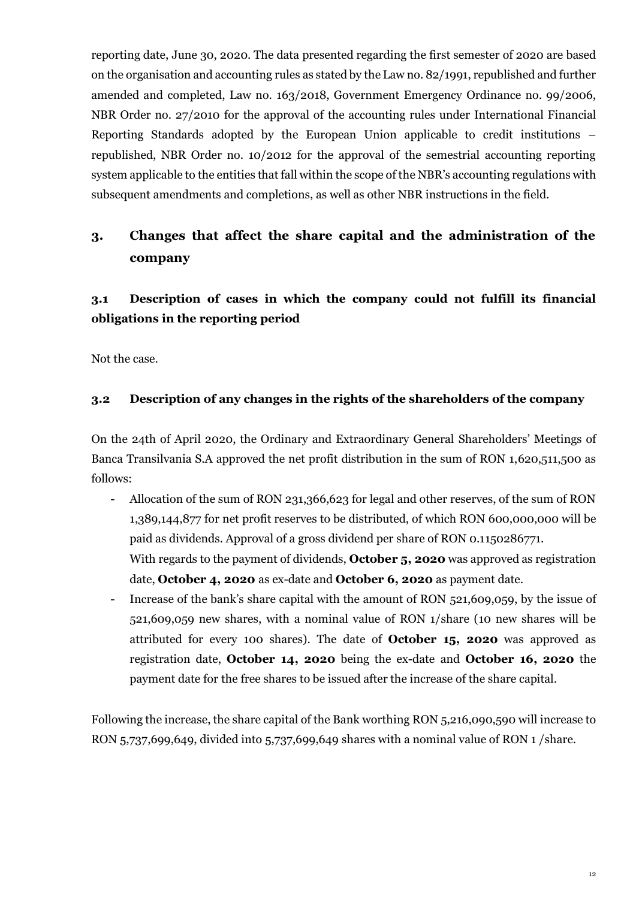reporting date, June 30, 2020. The data presented regarding the first semester of 2020 are based on the organisation and accounting rules as stated by the Law no. 82/1991, republished and further amended and completed, Law no. 163/2018, Government Emergency Ordinance no. 99/2006, NBR Order no. 27/2010 for the approval of the accounting rules under International Financial Reporting Standards adopted by the European Union applicable to credit institutions – republished, NBR Order no. 10/2012 for the approval of the semestrial accounting reporting system applicable to the entities that fall within the scope of the NBR's accounting regulations with subsequent amendments and completions, as well as other NBR instructions in the field.

# **3. Changes that affect the share capital and the administration of the company**

## **3.1 Description of cases in which the company could not fulfill its financial obligations in the reporting period**

Not the case.

#### **3.2 Description of any changes in the rights of the shareholders of the company**

On the 24th of April 2020, the Ordinary and Extraordinary General Shareholders' Meetings of Banca Transilvania S.A approved the net profit distribution in the sum of RON 1,620,511,500 as follows:

- Allocation of the sum of RON 231,366,623 for legal and other reserves, of the sum of RON 1,389,144,877 for net profit reserves to be distributed, of which RON 600,000,000 will be paid as dividends. Approval of a gross dividend per share of RON 0.1150286771. With regards to the payment of dividends, **October 5, 2020** was approved as registration date, **October 4, 2020** as ex-date and **October 6, 2020** as payment date.
- Increase of the bank's share capital with the amount of RON 521,609,059, by the issue of 521,609,059 new shares, with a nominal value of RON 1/share (10 new shares will be attributed for every 100 shares). The date of **October 15, 2020** was approved as registration date, **October 14, 2020** being the ex-date and **October 16, 2020** the payment date for the free shares to be issued after the increase of the share capital.

Following the increase, the share capital of the Bank worthing RON 5,216,090,590 will increase to RON 5,737,699,649, divided into 5,737,699,649 shares with a nominal value of RON 1 /share.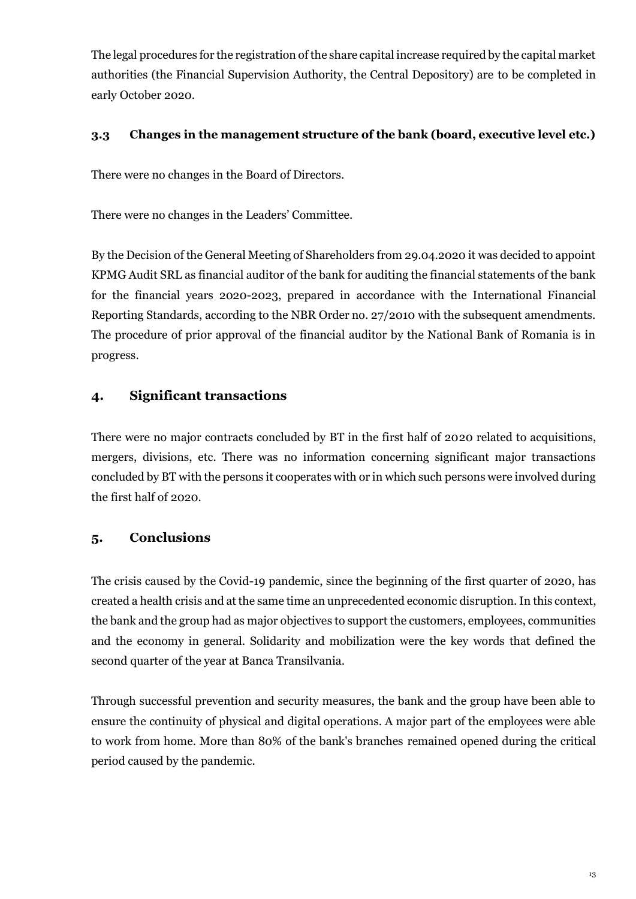The legal procedures for the registration of the share capital increase required by the capital market authorities (the Financial Supervision Authority, the Central Depository) are to be completed in early October 2020.

#### **3.3 Changes in the management structure of the bank (board, executive level etc.)**

There were no changes in the Board of Directors.

There were no changes in the Leaders' Committee.

By the Decision of the General Meeting of Shareholders from 29.04.2020 it was decided to appoint KPMG Audit SRL as financial auditor of the bank for auditing the financial statements of the bank for the financial years 2020-2023, prepared in accordance with the International Financial Reporting Standards, according to the NBR Order no. 27/2010 with the subsequent amendments. The procedure of prior approval of the financial auditor by the National Bank of Romania is in progress.

## **4. Significant transactions**

There were no major contracts concluded by BT in the first half of 2020 related to acquisitions, mergers, divisions, etc. There was no information concerning significant major transactions concluded by BT with the persons it cooperates with or in which such persons were involved during the first half of 2020.

## **5. Conclusions**

The crisis caused by the Covid-19 pandemic, since the beginning of the first quarter of 2020, has created a health crisis and at the same time an unprecedented economic disruption. In this context, the bank and the group had as major objectives to support the customers, employees, communities and the economy in general. Solidarity and mobilization were the key words that defined the second quarter of the year at Banca Transilvania.

Through successful prevention and security measures, the bank and the group have been able to ensure the continuity of physical and digital operations. A major part of the employees were able to work from home. More than 80% of the bank's branches remained opened during the critical period caused by the pandemic.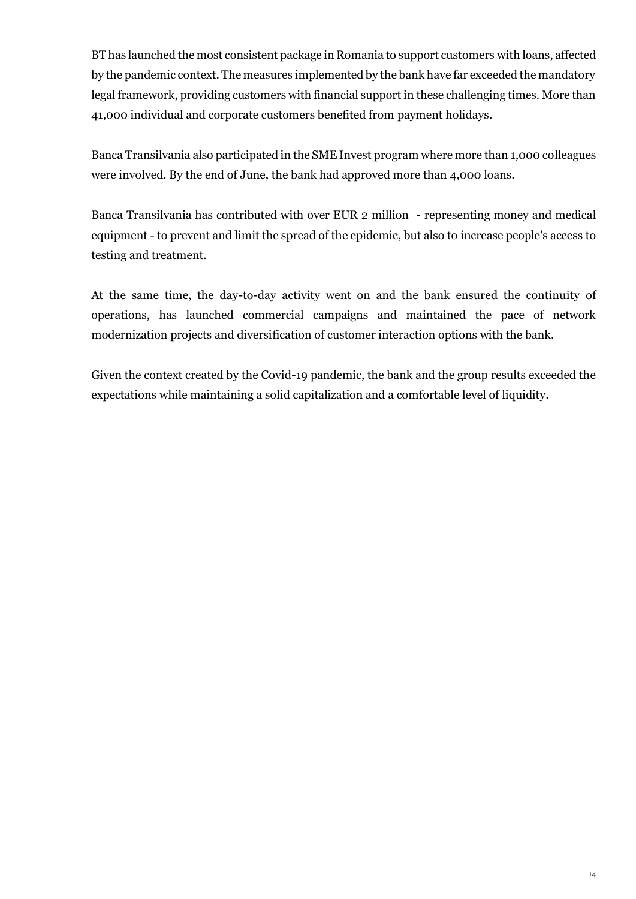BT has launched the most consistent package in Romania to support customers with loans, affected by the pandemic context. The measures implemented by the bank have far exceeded the mandatory legal framework, providing customers with financial support in these challenging times. More than 41,000 individual and corporate customers benefited from payment holidays.

Banca Transilvania also participated in the SME Invest program where more than 1,000 colleagues were involved. By the end of June, the bank had approved more than 4,000 loans.

Banca Transilvania has contributed with over EUR 2 million - representing money and medical equipment - to prevent and limit the spread of the epidemic, but also to increase people's access to testing and treatment.

At the same time, the day-to-day activity went on and the bank ensured the continuity of operations, has launched commercial campaigns and maintained the pace of network modernization projects and diversification of customer interaction options with the bank.

Given the context created by the Covid-19 pandemic, the bank and the group results exceeded the expectations while maintaining a solid capitalization and a comfortable level of liquidity.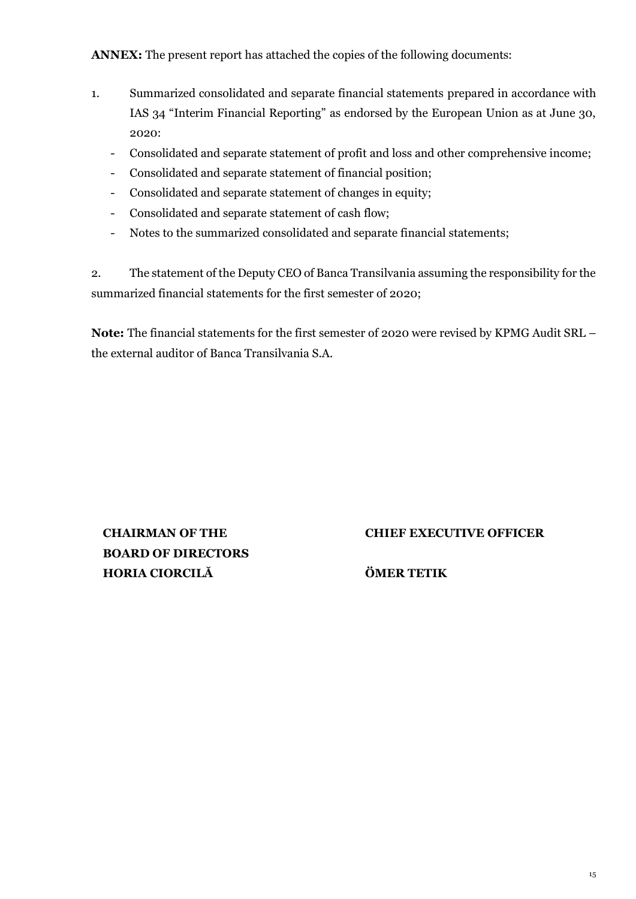**ANNEX:** The present report has attached the copies of the following documents:

- 1. Summarized consolidated and separate financial statements prepared in accordance with IAS 34 "Interim Financial Reporting" as endorsed by the European Union as at June 30, 2020:
	- Consolidated and separate statement of profit and loss and other comprehensive income;
	- Consolidated and separate statement of financial position;
	- Consolidated and separate statement of changes in equity;
	- Consolidated and separate statement of cash flow;
	- Notes to the summarized consolidated and separate financial statements;

2. The statement of the Deputy CEO of Banca Transilvania assuming the responsibility for the summarized financial statements for the first semester of 2020;

**Note:** The financial statements for the first semester of 2020 were revised by KPMG Audit SRL – the external auditor of Banca Transilvania S.A.

**CHAIRMAN OF THE BOARD OF DIRECTORS HORIA CIORCILĂ ÖMER TETIK**

**CHIEF EXECUTIVE OFFICER**